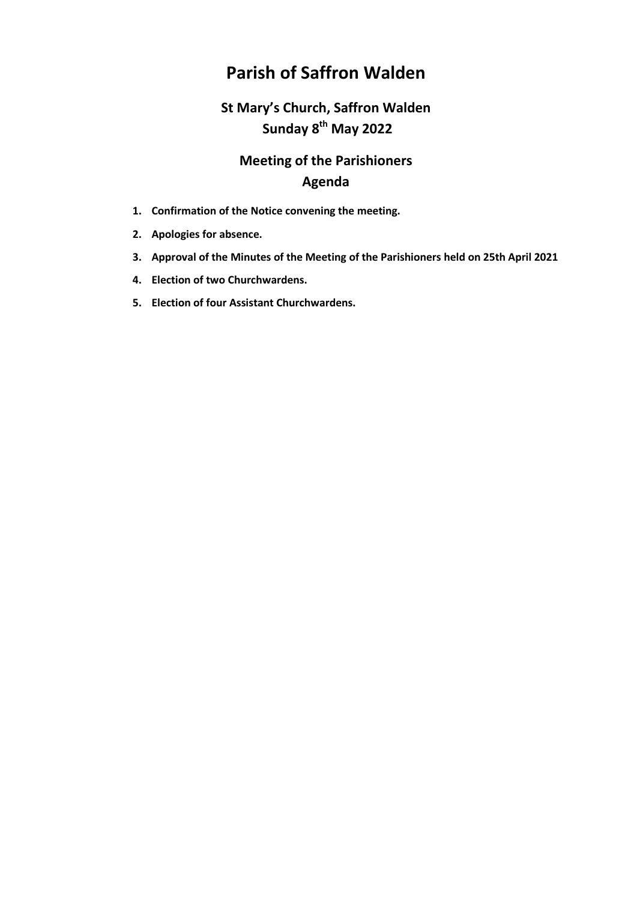## **Parish of Saffron Walden**

## **St Mary's Church, Saffron Walden Sunday 8th May 2022**

## **Meeting of the Parishioners Agenda**

- **1. Confirmation of the Notice convening the meeting.**
- **2. Apologies for absence.**
- **3. Approval of the Minutes of the Meeting of the Parishioners held on 25th April 2021**
- **4. Election of two Churchwardens.**
- **5. Election of four Assistant Churchwardens.**